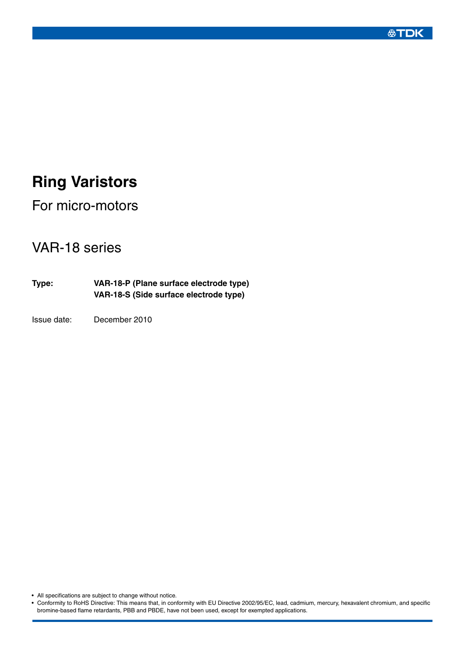### **公TDK**

# **Ring Varistors**

For micro-motors

## VAR-18 series

**Type: VAR-18-P (Plane surface electrode type) VAR-18-S (Side surface electrode type)**

Issue date: December 2010

• All specifications are subject to change without notice.

• Conformity to RoHS Directive: This means that, in conformity with EU Directive 2002/95/EC, lead, cadmium, mercury, hexavalent chromium, and specific bromine-based flame retardants, PBB and PBDE, have not been used, except for exempted applications.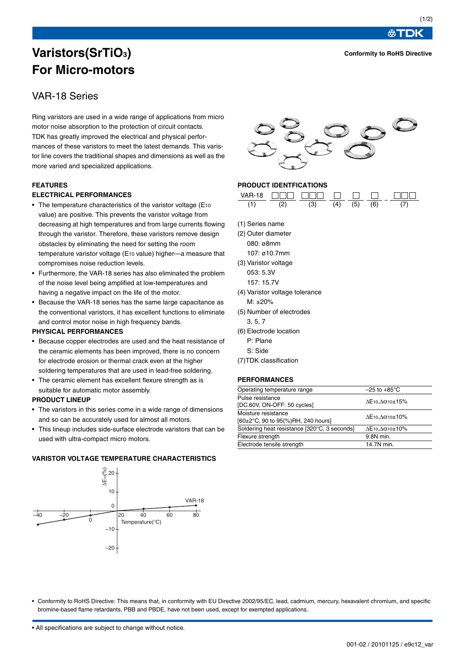**Conformity to RoHS Directive**

**公丁口K** 

## **Varistors(SrTiO3) For Micro-motors**

### VAR-18 Series

Ring varistors are used in a wide range of applications from micro motor noise absorption to the protection of circuit contacts. TDK has greatly improved the electrical and physical performances of these varistors to meet the latest demands. This varistor line covers the traditional shapes and dimensions as well as the more varied and specialized applications.

#### **FEATURES**

#### **ELECTRICAL PERFORMANCES**

- The temperature characteristics of the varistor voltage (E10) value) are positive. This prevents the varistor voltage from decreasing at high temperatures and from large currents flowing through the varistor. Therefore, these varistors remove design obstacles by eliminating the need for setting the room temperature varistor voltage (E10 value) higher—a measure that compromises noise reduction levels.
- Furthermore, the VAR-18 series has also eliminated the problem of the noise level being amplified at low-temperatures and having a negative impact on the life of the motor.
- Because the VAR-18 series has the same large capacitance as the conventional varistors, it has excellent functions to eliminate and control motor noise in high frequency bands.

#### **PHYSICAL PERFORMANCES**

- Because copper electrodes are used and the heat resistance of the ceramic elements has been improved, there is no concern for electrode erosion or thermal crack even at the higher soldering temperatures that are used in lead-free soldering.
- The ceramic element has excellent flexure strength as is suitable for automatic motor assembly.

#### **PRODUCT LINEUP**

- The varistors in this series come in a wide range of dimensions and so can be accurately used for almost all motors.
- This lineup includes side-surface electrode varistors that can be used with ultra-compact micro motors.

#### **VARISTOR VOLTAGE TEMPERATURE CHARACTERISTICS**





#### **PRODUCT IDENTFICATIONS**



- (1) Series name
- (2) Outer diameter 080: ø8mm 107: ø10.7mm
- (3) Varistor voltage 053: 5.3V 157: 15.7V
- (4) Varistor voltage tolerance M: ±20%
- (5) Number of electrodes
	- 3, 5, 7
- (6) Electrode location
	- P: Plane
	- S: Side
- (7)TDK classification

#### **PERFORMANCES**

| Operating temperature range                  | $-25$ to $+85^{\circ}$ C                                                    |  |  |
|----------------------------------------------|-----------------------------------------------------------------------------|--|--|
| Pulse resistance                             |                                                                             |  |  |
| [DC.60V, ON-OFF: 50 cycles]                  | $\Delta E$ 10, $\Delta \alpha$ 10±15%                                       |  |  |
| Moisture resistance                          | $\Delta$ E <sub>10</sub> . $\Delta$ $\alpha$ <sub>10</sub> $\pm$ <b>10%</b> |  |  |
| [60±2°C, 90 to 95(%)RH, 240 hours]           |                                                                             |  |  |
| Soldering heat resistance [320°C, 3 seconds] | $\Delta E$ 10, $\Delta$ 0.10±10%                                            |  |  |
| Flexure strength                             | 9.8N min.                                                                   |  |  |
| Electrode tensile strength                   | 14.7N min.                                                                  |  |  |

• Conformity to RoHS Directive: This means that, in conformity with EU Directive 2002/95/EC, lead, cadmium, mercury, hexavalent chromium, and specific bromine-based flame retardants, PBB and PBDE, have not been used, except for exempted applications.

• All specifications are subject to change without notice.